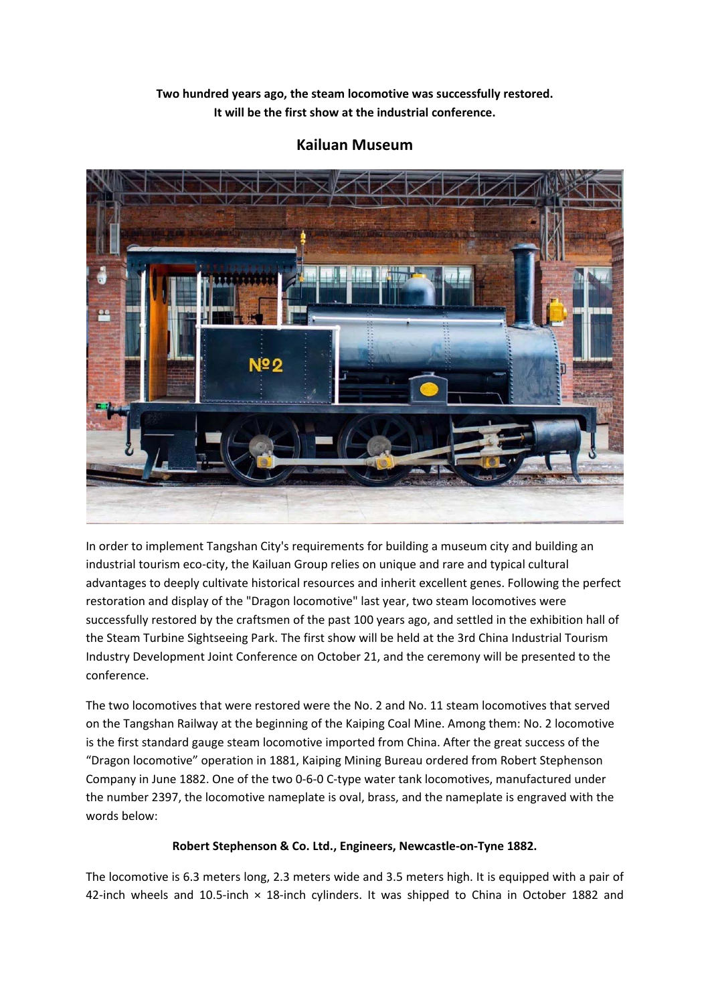**Two hundred years ago, the steam locomotive was successfully restored. It will be the first show at the industrial conference.** 



## **Kailuan Museum**

In order to implement Tangshan City's requirements for building a museum city and building an industrial tourism eco‐city, the Kailuan Group relies on unique and rare and typical cultural advantages to deeply cultivate historical resources and inherit excellent genes. Following the perfect restoration and display of the "Dragon locomotive" last year, two steam locomotives were successfully restored by the craftsmen of the past 100 years ago, and settled in the exhibition hall of the Steam Turbine Sightseeing Park. The first show will be held at the 3rd China Industrial Tourism Industry Development Joint Conference on October 21, and the ceremony will be presented to the conference.

The two locomotives that were restored were the No. 2 and No. 11 steam locomotives that served on the Tangshan Railway at the beginning of the Kaiping Coal Mine. Among them: No. 2 locomotive is the first standard gauge steam locomotive imported from China. After the great success of the "Dragon locomotive" operation in 1881, Kaiping Mining Bureau ordered from Robert Stephenson Company in June 1882. One of the two 0‐6‐0 C‐type water tank locomotives, manufactured under the number 2397, the locomotive nameplate is oval, brass, and the nameplate is engraved with the words below:

## **Robert Stephenson & Co. Ltd., Engineers, Newcastle‐on‐Tyne 1882.**

The locomotive is 6.3 meters long, 2.3 meters wide and 3.5 meters high. It is equipped with a pair of 42-inch wheels and 10.5-inch × 18-inch cylinders. It was shipped to China in October 1882 and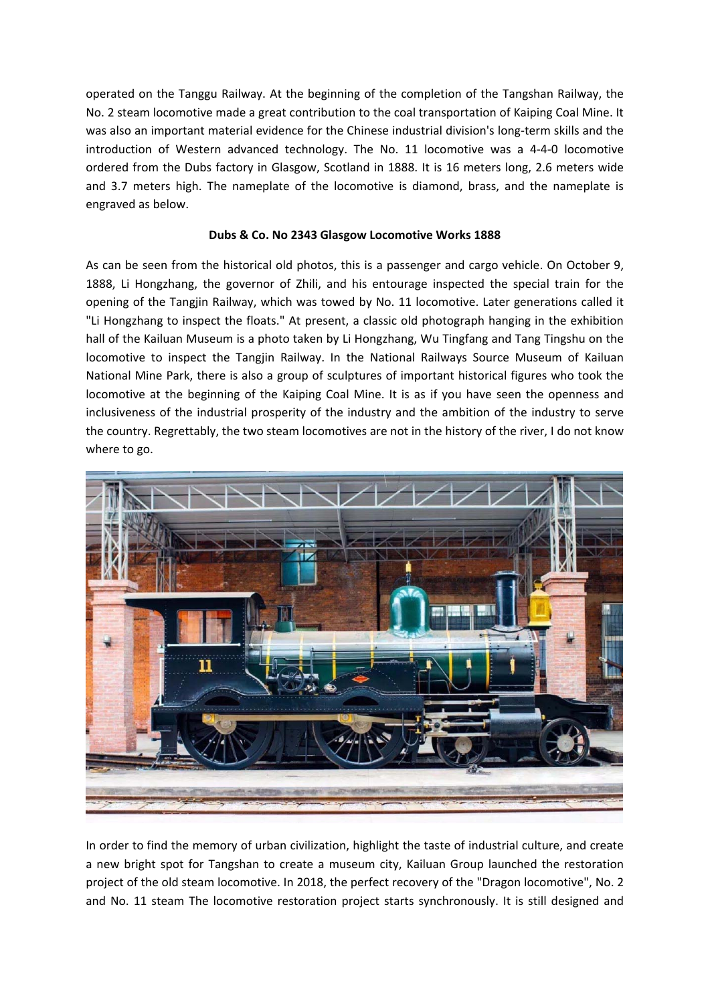operated on the Tanggu Railway. At the beginning of the completion of the Tangshan Railway, the No. 2 steam locomotive made a great contribution to the coal transportation of Kaiping Coal Mine. It was also an important material evidence for the Chinese industrial division's long-term skills and the introduction of Western advanced technology. The No. 11 locomotive was a 4-4-0 locomotive ordered from the Dubs factory in Glasgow, Scotland in 1888. It is 16 meters long, 2.6 meters wide and 3.7 meters high. The nameplate of the locomotive is diamond, brass, and the nameplate is engraved as below.

## **Dubs & Co. No 2343 Glasgow Locomotive Works 1888**

As can be seen from the historical old photos, this is a passenger and cargo vehicle. On October 9, 1888, Li Hongzhang, the governor of Zhili, and his entourage inspected the special train for the opening of the Tangjin Railway, which was towed by No. 11 locomotive. Later generations called it "Li Hongzhang to inspect the floats." At present, a classic old photograph hanging in the exhibition hall of the Kailuan Museum is a photo taken by Li Hongzhang, Wu Tingfang and Tang Tingshu on the locomotive to inspect the Tangjin Railway. In the National Railways Source Museum of Kailuan National Mine Park, there is also a group of sculptures of important historical figures who took the locomotive at the beginning of the Kaiping Coal Mine. It is as if you have seen the openness and inclusiveness of the industrial prosperity of the industry and the ambition of the industry to serve the country. Regrettably, the two steam locomotives are not in the history of the river, I do not know where to go.



In order to find the memory of urban civilization, highlight the taste of industrial culture, and create a new bright spot for Tangshan to create a museum city, Kailuan Group launched the restoration project of the old steam locomotive. In 2018, the perfect recovery of the "Dragon locomotive", No. 2 and No. 11 steam The locomotive restoration project starts synchronously. It is still designed and